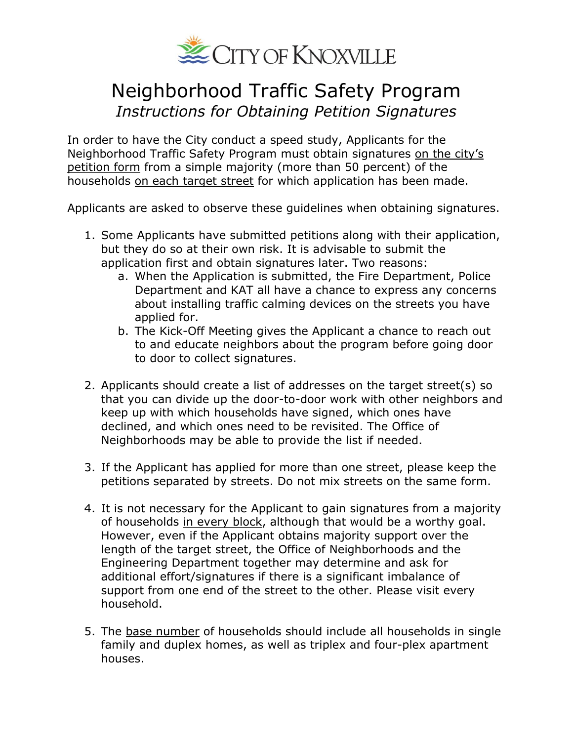

## Neighborhood Traffic Safety Program *Instructions for Obtaining Petition Signatures*

In order to have the City conduct a speed study, Applicants for the Neighborhood Traffic Safety Program must obtain signatures on the city's petition form from a simple majority (more than 50 percent) of the households on each target street for which application has been made.

Applicants are asked to observe these guidelines when obtaining signatures.

- 1. Some Applicants have submitted petitions along with their application, but they do so at their own risk. It is advisable to submit the application first and obtain signatures later. Two reasons:
	- a. When the Application is submitted, the Fire Department, Police Department and KAT all have a chance to express any concerns about installing traffic calming devices on the streets you have applied for.
	- b. The Kick-Off Meeting gives the Applicant a chance to reach out to and educate neighbors about the program before going door to door to collect signatures.
- 2. Applicants should create a list of addresses on the target street(s) so that you can divide up the door-to-door work with other neighbors and keep up with which households have signed, which ones have declined, and which ones need to be revisited. The Office of Neighborhoods may be able to provide the list if needed.
- 3. If the Applicant has applied for more than one street, please keep the petitions separated by streets. Do not mix streets on the same form.
- 4. It is not necessary for the Applicant to gain signatures from a majority of households in every block, although that would be a worthy goal. However, even if the Applicant obtains majority support over the length of the target street, the Office of Neighborhoods and the Engineering Department together may determine and ask for additional effort/signatures if there is a significant imbalance of support from one end of the street to the other. Please visit every household.
- 5. The base number of households should include all households in single family and duplex homes, as well as triplex and four-plex apartment houses.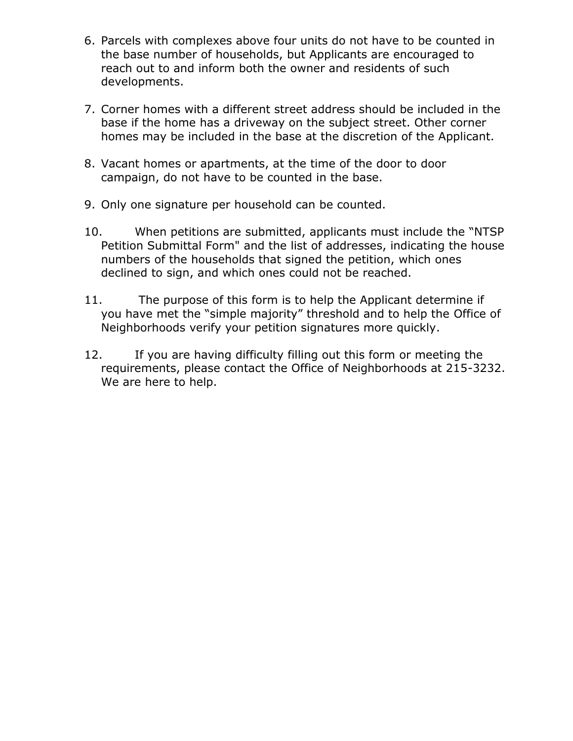- 6. Parcels with complexes above four units do not have to be counted in the base number of households, but Applicants are encouraged to reach out to and inform both the owner and residents of such developments.
- 7. Corner homes with a different street address should be included in the base if the home has a driveway on the subject street. Other corner homes may be included in the base at the discretion of the Applicant.
- 8. Vacant homes or apartments, at the time of the door to door campaign, do not have to be counted in the base.
- 9. Only one signature per household can be counted.
- 10. When petitions are submitted, applicants must include the "NTSP Petition Submittal Form" and the list of addresses, indicating the house numbers of the households that signed the petition, which ones declined to sign, and which ones could not be reached.
- 11. The purpose of this form is to help the Applicant determine if you have met the "simple majority" threshold and to help the Office of Neighborhoods verify your petition signatures more quickly.
- 12. If you are having difficulty filling out this form or meeting the requirements, please contact the Office of Neighborhoods at 215-3232. We are here to help.